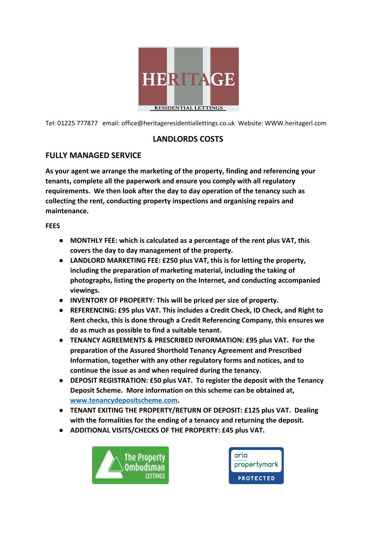

Tel: 01225 777877 email: office@heritageresidentiallettings.co.uk Website: WWW.heritagerl.com

## **LANDLORDS COSTS**

## **FULLY MANAGED SERVICE**

**As your agent we arrange the marketing of the property, finding and referencing your tenants, complete all the paperwork and ensure you comply with all regulatory requirements. We then look after the day to day operation of the tenancy such as collecting the rent, conducting property inspections and organising repairs and maintenance.**

**FEES**

- **● MONTHLY FEE: which is calculated as a percentage of the rent plus VAT, this covers the day to day management of the property.**
- **● LANDLORD MARKETING FEE: £250 plus VAT, this is for letting the property, including the preparation of marketing material, including the taking of photographs, listing the property on the Internet, and conducting accompanied viewings.**
- **● INVENTORY OF PROPERTY: This will be priced per size of property.**
- **● REFERENCING: £95 plus VAT. This includes a Credit Check, ID Check, and Right to Rent checks, this is done through a Credit Referencing Company, this ensures we do as much as possible to find a suitable tenant.**
- **● TENANCY AGREEMENTS & PRESCRIBED INFORMATION: £95 plus VAT. For the preparation of the Assured Shorthold Tenancy Agreement and Prescribed Information, together with any other regulatory forms and notices, and to continue the issue as and when required during the tenancy.**
- **● DEPOSIT REGISTRATION: £50 plus VAT. To register the deposit with the Tenancy Deposit Scheme. More information on this scheme can be obtained at, [www.tenancydepositscheme.com.](http://www.tenancydepositscheme.com/)**
- **● TENANT EXITING THE PROPERTY/RETURN OF DEPOSIT: £125 plus VAT. Dealing with the formalities for the ending of a tenancy and returning the deposit.**
- **● ADDITIONAL VISITS/CHECKS OF THE PROPERTY: £45 plus VAT.**